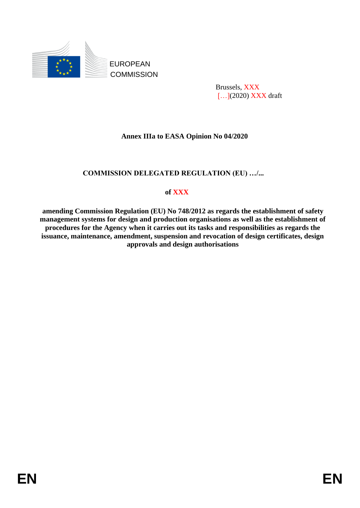

 Brussels, XXX [...](2020) **XXX** draft

## **Annex IIIa to EASA Opinion No 04/2020**

### **COMMISSION DELEGATED REGULATION (EU) …/...**

### **of XXX**

**amending Commission Regulation (EU) No 748/2012 as regards the establishment of safety management systems for design and production organisations as well as the establishment of procedures for the Agency when it carries out its tasks and responsibilities as regards the issuance, maintenance, amendment, suspension and revocation of design certificates, design approvals and design authorisations**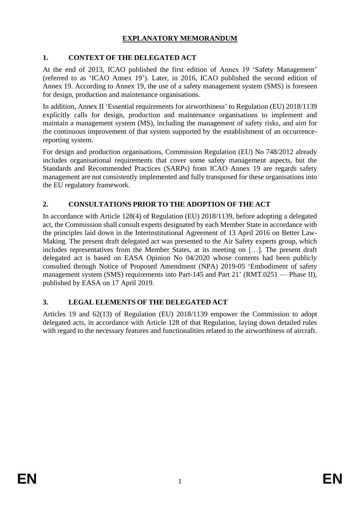# **EXPLANATORY MEMORANDUM**

## **1. CONTEXT OF THE DELEGATED ACT**

At the end of 2013, ICAO published the first edition of Annex 19 'Safety Management' (referred to as 'ICAO Annex 19'). Later, in 2016, ICAO published the second edition of Annex 19. According to Annex 19, the use of a safety management system (SMS) is foreseen for design, production and maintenance organisations.

In addition, Annex II 'Essential requirements for airworthiness' to Regulation (EU) 2018/1139 explicitly calls for design, production and maintenance organisations to implement and maintain a management system (MS), including the management of safety risks, and aim for the continuous improvement of that system supported by the establishment of an occurrencereporting system.

For design and production organisations, Commission Regulation (EU) No 748/2012 already includes organisational requirements that cover some safety management aspects, but the Standards and Recommended Practices (SARPs) from ICAO Annex 19 are regards safety management are not consistently implemented and fully transposed for these organisations into the EU regulatory framework.

# **2. CONSULTATIONS PRIOR TO THE ADOPTION OF THE ACT**

In accordance with Article 128(4) of Regulation (EU) 2018/1139, before adopting a delegated act, the Commission shall consult experts designated by each Member State in accordance with the principles laid down in the Interinstitutional Agreement of 13 April 2016 on Better Law-Making. The present draft delegated act was presented to the Air Safety experts group, which includes representatives from the Member States, at its meeting on […]. The present draft delegated act is based on EASA Opinion No 04/2020 whose contents had been publicly consulted through Notice of Proposed Amendment (NPA) 2019-05 'Embodiment of safety management system (SMS) requirements into Part-145 and Part 21' (RMT.0251 — Phase II), published by EASA on 17 April 2019.

### **3. LEGAL ELEMENTS OF THE DELEGATED ACT**

Articles 19 and 62(13) of Regulation (EU) 2018/1139 empower the Commission to adopt delegated acts, in accordance with Article 128 of that Regulation, laying down detailed rules with regard to the necessary features and functionalities related to the airworthiness of aircraft.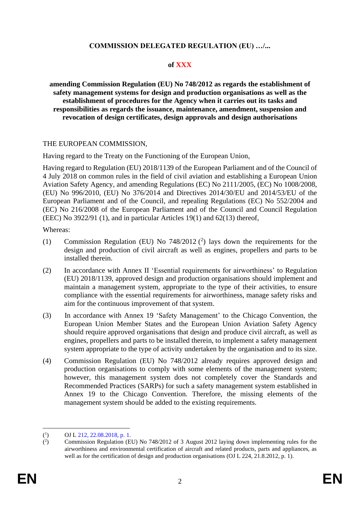#### **COMMISSION DELEGATED REGULATION (EU) …/...**

#### **of XXX**

**amending Commission Regulation (EU) No 748/2012 as regards the establishment of safety management systems for design and production organisations as well as the establishment of procedures for the Agency when it carries out its tasks and responsibilities as regards the issuance, maintenance, amendment, suspension and revocation of design certificates, design approvals and design authorisations**

#### THE EUROPEAN COMMISSION,

Having regard to the Treaty on the Functioning of the European Union,

Having regard to Regulation (EU) 2018/1139 of the European Parliament and of the Council of 4 July 2018 on common rules in the field of civil aviation and establishing a European Union Aviation Safety Agency, and amending Regulations (EC) No 2111/2005, (EC) No 1008/2008, (EU) No 996/2010, (EU) No 376/2014 and Directives 2014/30/EU and 2014/53/EU of the European Parliament and of the Council, and repealing Regulations (EC) No 552/2004 and (EC) No 216/2008 of the European Parliament and of the Council and Council Regulation (EEC) No  $3922/91$  (1), and in particular Articles 19(1) and  $62(13)$  thereof,

Whereas:

- (1) Commission Regulation (EU) No  $748/2012$  (<sup>2</sup>) lays down the requirements for the design and production of civil aircraft as well as engines, propellers and parts to be installed therein.
- (2) In accordance with Annex II 'Essential requirements for airworthiness' to Regulation (EU) 2018/1139, approved design and production organisations should implement and maintain a management system, appropriate to the type of their activities, to ensure compliance with the essential requirements for airworthiness, manage safety risks and aim for the continuous improvement of that system.
- (3) In accordance with Annex 19 'Safety Management' to the Chicago Convention, the European Union Member States and the European Union Aviation Safety Agency should require approved organisations that design and produce civil aircraft, as well as engines, propellers and parts to be installed therein, to implement a safety management system appropriate to the type of activity undertaken by the organisation and to its size.
- (4) Commission Regulation (EU) No 748/2012 already requires approved design and production organisations to comply with some elements of the management system; however, this management system does not completely cover the Standards and Recommended Practices (SARPs) for such a safety management system established in Annex 19 to the Chicago Convention. Therefore, the missing elements of the management system should be added to the existing requirements.

 $(^1$ ) OJ L 212, 22.08.2018, p. 1.

 $($ <sup>2</sup> ) Commission Regulation (EU) No 748/2012 of 3 August 2012 laying down implementing rules for the airworthiness and environmental certification of aircraft and related products, parts and appliances, as well as for the certification of design and production organisations (OJ L 224, 21.8.2012, p. 1).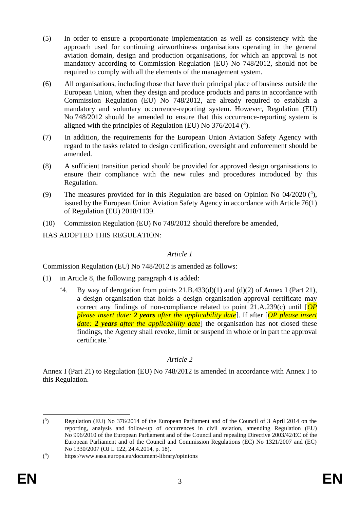- (5) In order to ensure a proportionate implementation as well as consistency with the approach used for continuing airworthiness organisations operating in the general aviation domain, design and production organisations, for which an approval is not mandatory according to Commission Regulation (EU) No 748/2012, should not be required to comply with all the elements of the management system.
- (6) All organisations, including those that have their principal place of business outside the European Union, when they design and produce products and parts in accordance with Commission Regulation (EU) No 748/2012, are already required to establish a mandatory and voluntary occurrence-reporting system. However, Regulation (EU) No 748/2012 should be amended to ensure that this occurrence-reporting system is aligned with the principles of Regulation (EU) No  $376/2014$  ( $3$ ).
- (7) In addition, the requirements for the European Union Aviation Safety Agency with regard to the tasks related to design certification, oversight and enforcement should be amended.
- (8) A sufficient transition period should be provided for approved design organisations to ensure their compliance with the new rules and procedures introduced by this Regulation.
- (9) The measures provided for in this Regulation are based on Opinion No  $04/2020$  (<sup>4</sup>), issued by the European Union Aviation Safety Agency in accordance with Article 76(1) of Regulation (EU) 2018/1139.
- (10) Commission Regulation (EU) No 748/2012 should therefore be amended,

HAS ADOPTED THIS REGULATION:

# *Article 1*

Commission Regulation (EU) No 748/2012 is amended as follows:

- (1) in Article 8, the following paragraph 4 is added:
	- '4. By way of derogation from points 21.B.433(d)(1) and (d)(2) of Annex I (Part 21), a design organisation that holds a design organisation approval certificate may correct any findings of non-compliance related to point 21.A.239(c) until [*OP please insert date: 2 years after the applicability date*]. If after [*OP please insert date: 2 years after the applicability date*] the organisation has not closed these findings, the Agency shall revoke, limit or suspend in whole or in part the approval certificate.'

### *Article 2*

Annex I (Part 21) to Regulation (EU) No 748/2012 is amended in accordance with Annex I to this Regulation.

 $(3)$ ) Regulation (EU) No 376/2014 of the European Parliament and of the Council of 3 April 2014 on the reporting, analysis and follow-up of occurrences in civil aviation, amending Regulation (EU) No 996/2010 of the European Parliament and of the Council and repealing Directive 2003/42/EC of the European Parliament and of the Council and Commission Regulations (EC) No 1321/2007 and (EC) No 1330/2007 (OJ L 122, 24.4.2014, p. 18).

 $($ <sup>4</sup> ) https://www.easa.europa.eu/document-library/opinions